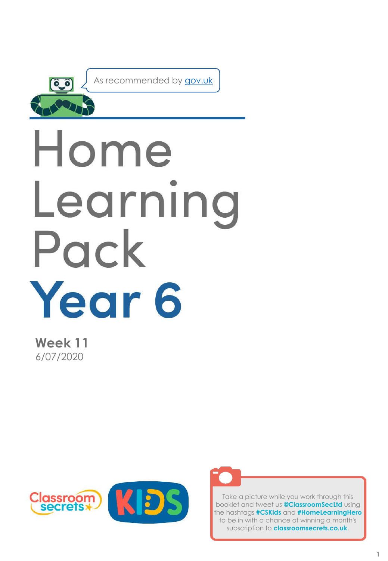

As recommended by [gov.uk](https://www.gov.uk/government/publications/coronavirus-covid-19-online-education-resources/coronavirus-covid-19-list-of-online-education-resources-for-home-education?)

# Home Learning Pack Year 6

**Week 11** 6/07/2020





Take a picture while you work through this booklet and tweet us **@ClassroomSecLtd** using the hashtags **#CSKids** and **#HomeLearningHero** to be in with a chance of winning a month's subscription to **classroomsecrets.co.uk**.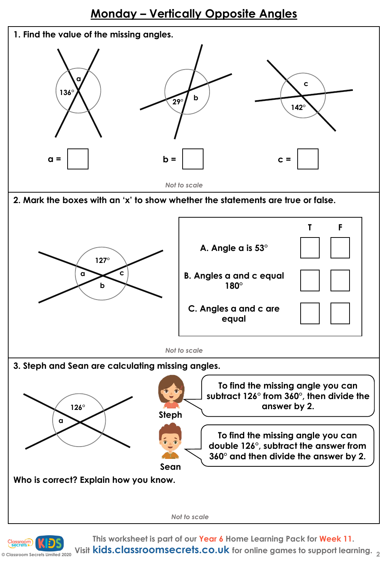### **Monday – Vertically Opposite Angles**





**This worksheet is part of our Year 6 Home Learning Pack for Week 11.**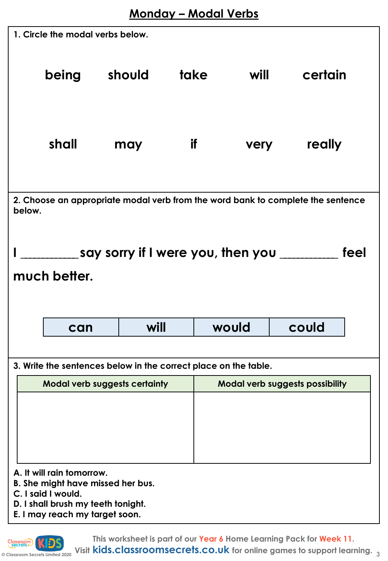| 1. Circle the modal verbs below.                                                          |       |                                                                                                         |                     |       |                                        |  |  |  |  |
|-------------------------------------------------------------------------------------------|-------|---------------------------------------------------------------------------------------------------------|---------------------|-------|----------------------------------------|--|--|--|--|
|                                                                                           | being | should                                                                                                  | take                | will  | certain                                |  |  |  |  |
|                                                                                           | shall | may                                                                                                     | if I<br><b>very</b> |       | really                                 |  |  |  |  |
| 2. Choose an appropriate modal verb from the word bank to complete the sentence<br>below. |       |                                                                                                         |                     |       |                                        |  |  |  |  |
| _____________say sorry if I were you, then you ___________<br>feel<br>much better.        |       |                                                                                                         |                     |       |                                        |  |  |  |  |
|                                                                                           |       |                                                                                                         |                     |       |                                        |  |  |  |  |
|                                                                                           | can   | will                                                                                                    |                     | would | could                                  |  |  |  |  |
|                                                                                           |       |                                                                                                         |                     |       |                                        |  |  |  |  |
|                                                                                           |       |                                                                                                         |                     |       |                                        |  |  |  |  |
|                                                                                           |       | 3. Write the sentences below in the correct place on the table.<br><b>Modal verb suggests certainty</b> |                     |       | <b>Modal verb suggests possibility</b> |  |  |  |  |

**This worksheet is part of our Year 6 Home Learning Pack for Week 11.**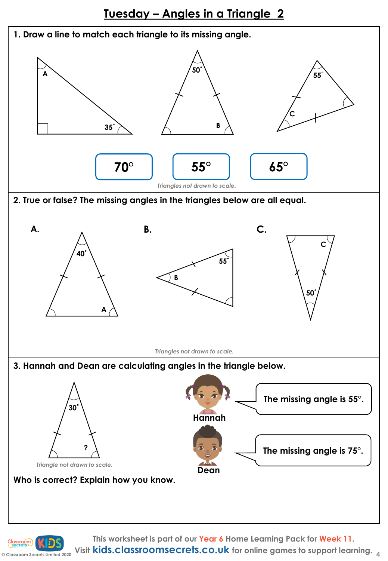

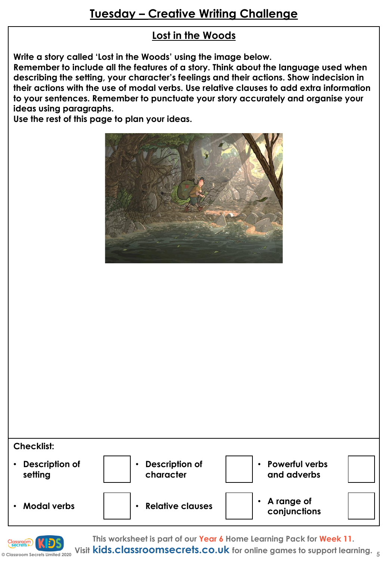#### **Lost in the Woods**

**Write a story called 'Lost in the Woods' using the image below.** 

**Remember to include all the features of a story. Think about the language used when describing the setting, your character's feelings and their actions. Show indecision in their actions with the use of modal verbs. Use relative clauses to add extra information to your sentences. Remember to punctuate your story accurately and organise your ideas using paragraphs.**

**Use the rest of this page to plan your ideas.**







**This worksheet is part of our Year 6 Home Learning Pack for Week 11.**

**© Classroom Secrets Limited 2020 Visit kids.classroomsecrets.co.uk for online games to support learning. <sup>5</sup>**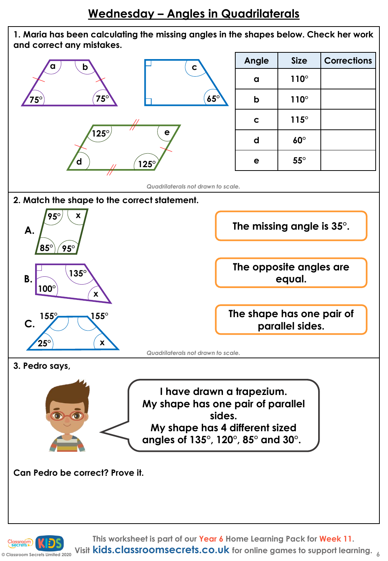## **Wednesday – Angles in Quadrilaterals**



**C** Classroom Secrets Limited 2020 Visit **kids.classroomsecrets.co.uk** for online games to support learning.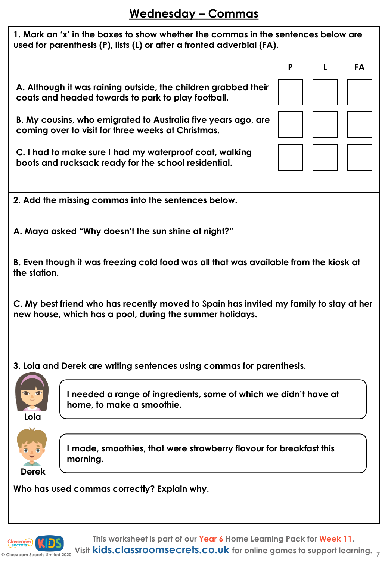| 1. Mark an 'x' in the boxes to show whether the commas in the sentences below are<br>used for parenthesis (P), lists (L) or after a fronted adverbial (FA). |   |   |    |  |  |  |  |
|-------------------------------------------------------------------------------------------------------------------------------------------------------------|---|---|----|--|--|--|--|
|                                                                                                                                                             | P | L | FA |  |  |  |  |
| A. Although it was raining outside, the children grabbed their<br>coats and headed towards to park to play football.                                        |   |   |    |  |  |  |  |
| B. My cousins, who emigrated to Australia five years ago, are<br>coming over to visit for three weeks at Christmas.                                         |   |   |    |  |  |  |  |
| C. I had to make sure I had my waterproof coat, walking<br>boots and rucksack ready for the school residential.                                             |   |   |    |  |  |  |  |
|                                                                                                                                                             |   |   |    |  |  |  |  |
| 2. Add the missing commas into the sentences below.                                                                                                         |   |   |    |  |  |  |  |
| A. Maya asked "Why doesn't the sun shine at night?"                                                                                                         |   |   |    |  |  |  |  |
| B. Even though it was freezing cold food was all that was available from the kiosk at<br>the station.                                                       |   |   |    |  |  |  |  |
| C. My best friend who has recently moved to Spain has invited my family to stay at her<br>new house, which has a pool, during the summer holidays.          |   |   |    |  |  |  |  |
| 3. Lola and Derek are writing sentences using commas for parenthesis.                                                                                       |   |   |    |  |  |  |  |
|                                                                                                                                                             |   |   |    |  |  |  |  |
| I needed a range of ingredients, some of which we didn't have at<br>home, to make a smoothie.<br>Lola                                                       |   |   |    |  |  |  |  |
| I made, smoothies, that were strawberry flavour for breakfast this<br>morning.<br><b>Derek</b>                                                              |   |   |    |  |  |  |  |
| Who has used commas correctly? Explain why                                                                                                                  |   |   |    |  |  |  |  |

**Commas correctly? Explain why.** 

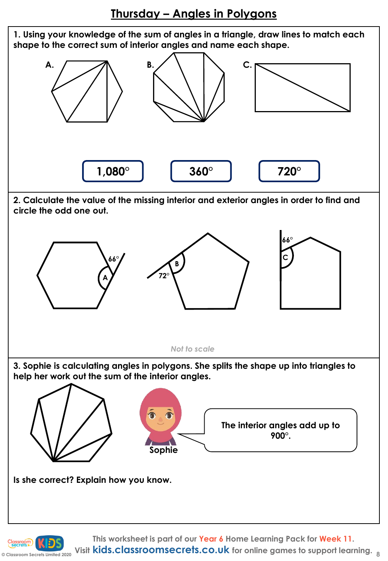**Thursday – Angles in Polygons**

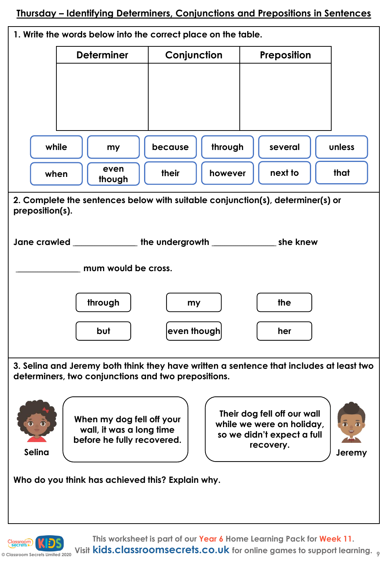**Thursday – Identifying Determiners, Conjunctions and Prepositions in Sentences**



**© Classroom Secrets Limited 2020 Visit kids.classroomsecrets.co.uk for online games to support learning. <sup>9</sup>**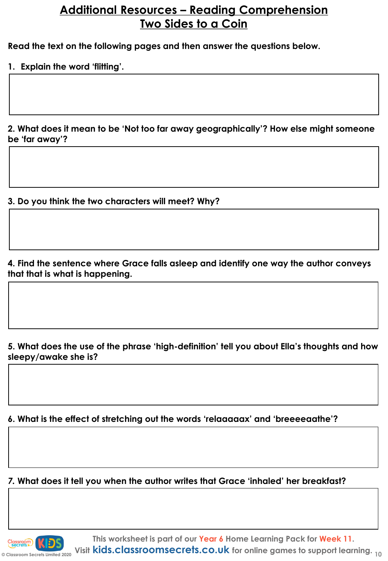### **Additional Resources – Reading Comprehension Two Sides to a Coin**

**Read the text on the following pages and then answer the questions below.**

**1. Explain the word 'flitting'.** 

**2. What does it mean to be 'Not too far away geographically'? How else might someone be 'far away'?** 

**3. Do you think the two characters will meet? Why?**

**4. Find the sentence where Grace falls asleep and identify one way the author conveys that that is what is happening.** 

**5. What does the use of the phrase 'high-definition' tell you about Ella's thoughts and how sleepy/awake she is?** 

**6. What is the effect of stretching out the words 'relaaaaax' and 'breeeeaathe'?** 

*7.* **What does it tell you when the author writes that Grace 'inhaled' her breakfast?** 

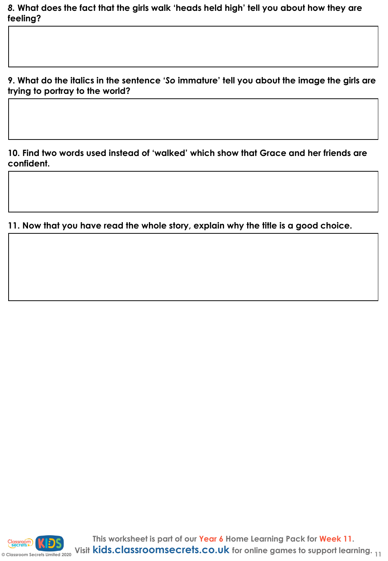*8.* **What does the fact that the girls walk 'heads held high' tell you about how they are feeling?** 

**9. What do the italics in the sentence '***So* **immature' tell you about the image the girls are trying to portray to the world?** 

**10. Find two words used instead of 'walked' which show that Grace and her friends are confident.** 

**11. Now that you have read the whole story, explain why the title is a good choice.** 

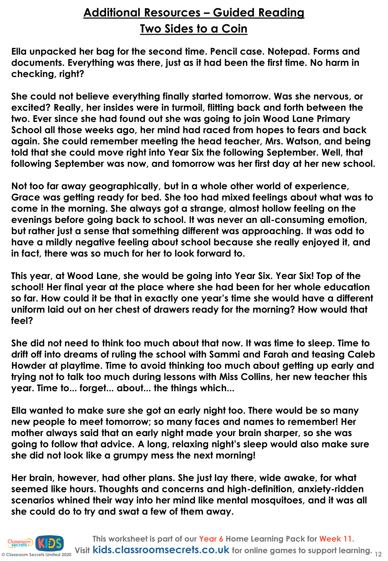# **Additional Resources – Guided Reading Two Sides to a Coin**

**Ella unpacked her bag for the second time. Pencil case. Notepad. Forms and documents. Everything was there, just as it had been the first time. No harm in checking, right?** 

**She could not believe everything finally started tomorrow. Was she nervous, or excited? Really, her insides were in turmoil, flitting back and forth between the two. Ever since she had found out she was going to join Wood Lane Primary School all those weeks ago, her mind had raced from hopes to fears and back again. She could remember meeting the head teacher, Mrs. Watson, and being told that she could move right into Year Six the following September. Well, that following September was now, and tomorrow was her first day at her new school.**

**Not too far away geographically, but in a whole other world of experience, Grace was getting ready for bed. She too had mixed feelings about what was to come in the morning. She always got a strange, almost hollow feeling on the evenings before going back to school. It was never an all-consuming emotion, but rather just a sense that something different was approaching. It was odd to have a mildly negative feeling about school because she really enjoyed it, and in fact, there was so much for her to look forward to.** 

**This year, at Wood Lane, she would be going into Year Six. Year Six! Top of the school! Her final year at the place where she had been for her whole education so far. How could it be that in exactly one year's time she would have a different uniform laid out on her chest of drawers ready for the morning? How would that feel?**

**She did not need to think too much about that now. It was time to sleep. Time to drift off into dreams of ruling the school with Sammi and Farah and teasing Caleb Howder at playtime. Time to avoid thinking too much about getting up early and trying not to talk too much during lessons with Miss Collins, her new teacher this year. Time to... forget... about... the things which...**

**Ella wanted to make sure she got an early night too. There would be so many new people to meet tomorrow; so many faces and names to remember! Her mother always said that an early night made your brain sharper, so she was going to follow that advice. A long, relaxing night's sleep would also make sure she did not look like a grumpy mess the next morning!**

**Her brain, however, had other plans. She just lay there, wide awake, for what seemed like hours. Thoughts and concerns and high-definition, anxiety-ridden scenarios whined their way into her mind like mental mosquitoes, and it was all she could do to try and swat a few of them away.**